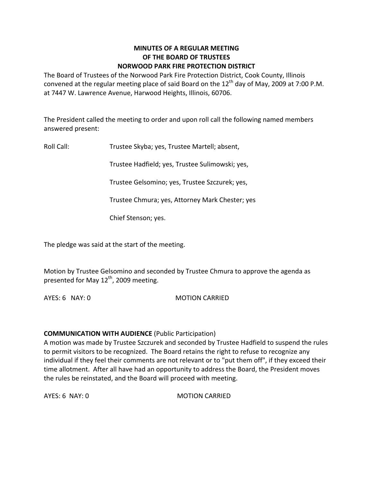# **MINUTES OF A REGULAR MEETING OF THE BOARD OF TRUSTEES NORWOOD PARK FIRE PROTECTION DISTRICT**

The Board of Trustees of the Norwood Park Fire Protection District, Cook County, Illinois convened at the regular meeting place of said Board on the  $12<sup>th</sup>$  day of May, 2009 at 7:00 P.M. at 7447 W. Lawrence Avenue, Harwood Heights, Illinois, 60706.

The President called the meeting to order and upon roll call the following named members answered present:

Roll Call: Trustee Skyba; yes, Trustee Martell; absent,

Trustee Hadfield; yes, Trustee Sulimowski; yes,

Trustee Gelsomino; yes, Trustee Szczurek; yes,

Trustee Chmura; yes, Attorney Mark Chester; yes

Chief Stenson; yes.

The pledge was said at the start of the meeting.

Motion by Trustee Gelsomino and seconded by Trustee Chmura to approve the agenda as presented for May 12<sup>th</sup>, 2009 meeting.

AYES: 6 NAY: 0 MOTION CARRIED

# **COMMUNICATION WITH AUDIENCE** (Public Participation)

A motion was made by Trustee Szczurek and seconded by Trustee Hadfield to suspend the rules to permit visitors to be recognized. The Board retains the right to refuse to recognize any individual if they feel their comments are not relevant or to "put them off", if they exceed their time allotment. After all have had an opportunity to address the Board, the President moves the rules be reinstated, and the Board will proceed with meeting.

AYES: 6 NAY: 0 MOTION CARRIED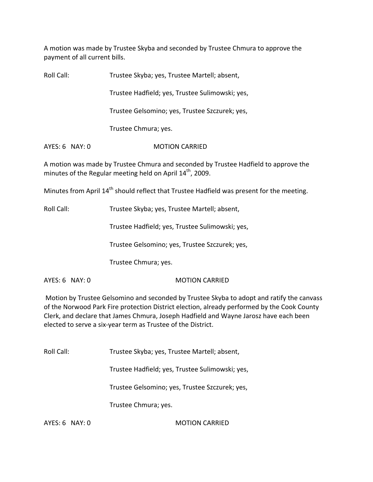A motion was made by Trustee Skyba and seconded by Trustee Chmura to approve the payment of all current bills.

Roll Call: Trustee Skyba; yes, Trustee Martell; absent, Trustee Hadfield; yes, Trustee Sulimowski; yes,

Trustee Gelsomino; yes, Trustee Szczurek; yes,

Trustee Chmura; yes.

AYES: 6 NAY: 0 **MOTION CARRIED** 

A motion was made by Trustee Chmura and seconded by Trustee Hadfield to approve the minutes of the Regular meeting held on April  $14^{\text{th}}$ , 2009.

Minutes from April 14<sup>th</sup> should reflect that Trustee Hadfield was present for the meeting.

Roll Call: Trustee Skyba; yes, Trustee Martell; absent,

Trustee Hadfield; yes, Trustee Sulimowski; yes,

Trustee Gelsomino; yes, Trustee Szczurek; yes,

Trustee Chmura; yes.

AYES: 6 NAY: 0 MOTION CARRIED

Motion by Trustee Gelsomino and seconded by Trustee Skyba to adopt and ratify the canvass of the Norwood Park Fire protection District election, already performed by the Cook County Clerk, and declare that James Chmura, Joseph Hadfield and Wayne Jarosz have each been elected to serve a six‐year term as Trustee of the District.

Roll Call: Trustee Skyba; yes, Trustee Martell; absent,

Trustee Hadfield; yes, Trustee Sulimowski; yes,

Trustee Gelsomino; yes, Trustee Szczurek; yes,

Trustee Chmura; yes.

AYES: 6 NAY: 0 MOTION CARRIED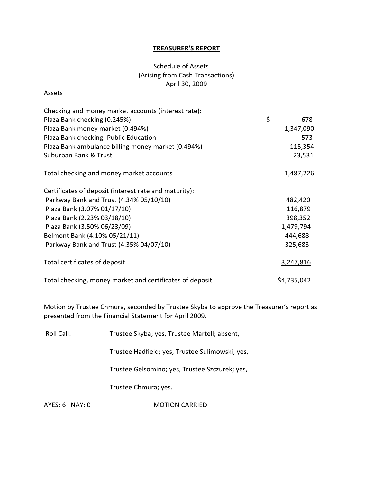# **TREASURER'S REPORT**

# Schedule of Assets (Arising from Cash Transactions) April 30, 2009

#### Assets

| Checking and money market accounts (interest rate):      |    |                    |
|----------------------------------------------------------|----|--------------------|
| Plaza Bank checking (0.245%)                             | \$ | 678                |
| Plaza Bank money market (0.494%)                         |    | 1,347,090          |
| Plaza Bank checking- Public Education                    |    | 573                |
| Plaza Bank ambulance billing money market (0.494%)       |    | 115,354            |
| Suburban Bank & Trust                                    |    | <u>23,531</u>      |
| Total checking and money market accounts                 |    | 1,487,226          |
| Certificates of deposit (interest rate and maturity):    |    |                    |
| Parkway Bank and Trust (4.34% 05/10/10)                  |    | 482,420            |
| Plaza Bank (3.07% 01/17/10)                              |    | 116,879            |
| Plaza Bank (2.23% 03/18/10)                              |    | 398,352            |
| Plaza Bank (3.50% 06/23/09)                              |    | 1,479,794          |
| Belmont Bank (4.10% 05/21/11)                            |    | 444,688            |
| Parkway Bank and Trust (4.35% 04/07/10)                  |    | 325,683            |
| Total certificates of deposit                            |    | 3,247,816          |
| Total checking, money market and certificates of deposit |    | <u>\$4,735,042</u> |

Motion by Trustee Chmura, seconded by Trustee Skyba to approve the Treasurer's report as presented from the Financial Statement for April 2009**.**

Roll Call: Trustee Skyba; yes, Trustee Martell; absent,

Trustee Hadfield; yes, Trustee Sulimowski; yes,

Trustee Gelsomino; yes, Trustee Szczurek; yes,

Trustee Chmura; yes.

AYES: 6 NAY: 0 **MOTION CARRIED**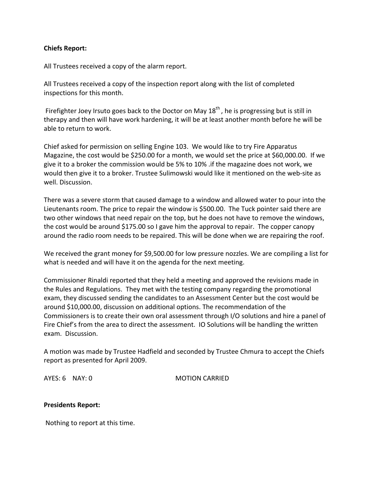# **Chiefs Report:**

All Trustees received a copy of the alarm report.

All Trustees received a copy of the inspection report along with the list of completed inspections for this month.

Firefighter Joey Irsuto goes back to the Doctor on May 18<sup>th</sup>, he is progressing but is still in therapy and then will have work hardening, it will be at least another month before he will be able to return to work.

Chief asked for permission on selling Engine 103. We would like to try Fire Apparatus Magazine, the cost would be \$250.00 for a month, we would set the price at \$60,000.00. If we give it to a broker the commission would be 5% to 10% .if the magazine does not work, we would then give it to a broker. Trustee Sulimowski would like it mentioned on the web‐site as well. Discussion.

There was a severe storm that caused damage to a window and allowed water to pour into the Lieutenants room. The price to repair the window is \$500.00. The Tuck pointer said there are two other windows that need repair on the top, but he does not have to remove the windows, the cost would be around \$175.00 so I gave him the approval to repair. The copper canopy around the radio room needs to be repaired. This will be done when we are repairing the roof.

We received the grant money for \$9,500.00 for low pressure nozzles. We are compiling a list for what is needed and will have it on the agenda for the next meeting.

Commissioner Rinaldi reported that they held a meeting and approved the revisions made in the Rules and Regulations. They met with the testing company regarding the promotional exam, they discussed sending the candidates to an Assessment Center but the cost would be around \$10,000.00, discussion on additional options. The recommendation of the Commissioners is to create their own oral assessment through I/O solutions and hire a panel of Fire Chief's from the area to direct the assessment. IO Solutions will be handling the written exam. Discussion.

A motion was made by Trustee Hadfield and seconded by Trustee Chmura to accept the Chiefs report as presented for April 2009.

AYES: 6 NAY: 0 MOTION CARRIED

### **Presidents Report:**

Nothing to report at this time.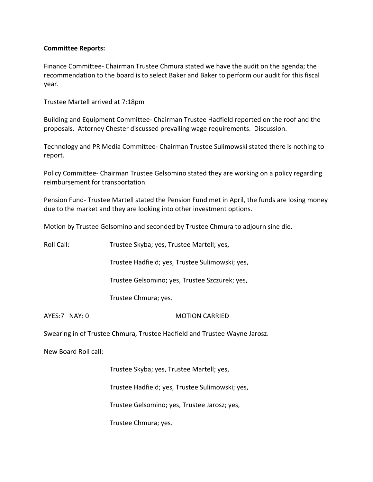# **Committee Reports:**

Finance Committee‐ Chairman Trustee Chmura stated we have the audit on the agenda; the recommendation to the board is to select Baker and Baker to perform our audit for this fiscal year.

Trustee Martell arrived at 7:18pm

Building and Equipment Committee‐ Chairman Trustee Hadfield reported on the roof and the proposals. Attorney Chester discussed prevailing wage requirements. Discussion.

Technology and PR Media Committee‐ Chairman Trustee Sulimowski stated there is nothing to report.

Policy Committee‐ Chairman Trustee Gelsomino stated they are working on a policy regarding reimbursement for transportation.

Pension Fund‐ Trustee Martell stated the Pension Fund met in April, the funds are losing money due to the market and they are looking into other investment options.

Motion by Trustee Gelsomino and seconded by Trustee Chmura to adjourn sine die.

| Roll Call:           | Trustee Skyba; yes, Trustee Martell; yes,                                 |
|----------------------|---------------------------------------------------------------------------|
|                      | Trustee Hadfield; yes, Trustee Sulimowski; yes,                           |
|                      | Trustee Gelsomino; yes, Trustee Szczurek; yes,                            |
|                      | Trustee Chmura; yes.                                                      |
| AYES:7 NAY: 0        | <b>MOTION CARRIED</b>                                                     |
|                      | Swearing in of Trustee Chmura, Trustee Hadfield and Trustee Wayne Jarosz. |
| New Board Roll call: |                                                                           |
|                      | Trustee Skyba; yes, Trustee Martell; yes,                                 |
|                      | Trustee Hadfield; yes, Trustee Sulimowski; yes,                           |
|                      | Trustee Gelsomino; yes, Trustee Jarosz; yes,                              |
|                      | Trustee Chmura; yes.                                                      |
|                      |                                                                           |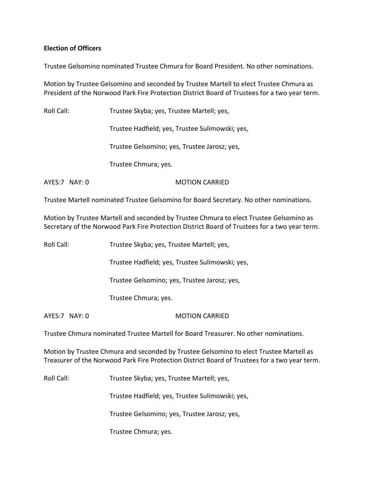# **Election of Officers**

Trustee Gelsomino nominated Trustee Chmura for Board President. No other nominations.

Motion by Trustee Gelsomino and seconded by Trustee Martell to elect Trustee Chmura as President of the Norwood Park Fire Protection District Board of Trustees for a two year term.

Roll Call: Trustee Skyba; yes, Trustee Martell; yes,

Trustee Hadfield; yes, Trustee Sulimowski; yes,

Trustee Gelsomino; yes, Trustee Jarosz; yes,

Trustee Chmura; yes.

AYES: 7 NAY: 0 MOTION CARRIED

Trustee Martell nominated Trustee Gelsomino for Board Secretary. No other nominations.

Motion by Trustee Martell and seconded by Trustee Chmura to elect Trustee Gelsomino as Secretary of the Norwood Park Fire Protection District Board of Trustees for a two year term.

Roll Call: Trustee Skyba; yes, Trustee Martell; yes,

Trustee Hadfield; yes, Trustee Sulimowski; yes,

Trustee Gelsomino; yes, Trustee Jarosz; yes,

Trustee Chmura; yes.

AYES:7 NAY: 0 MOTION CARRIED

Trustee Chmura nominated Trustee Martell for Board Treasurer. No other nominations.

Motion by Trustee Chmura and seconded by Trustee Gelsomino to elect Trustee Martell as Treasurer of the Norwood Park Fire Protection District Board of Trustees for a two year term.

Roll Call: Trustee Skyba; yes, Trustee Martell; yes,

Trustee Hadfield; yes, Trustee Sulimowski; yes,

Trustee Gelsomino; yes, Trustee Jarosz; yes,

Trustee Chmura; yes.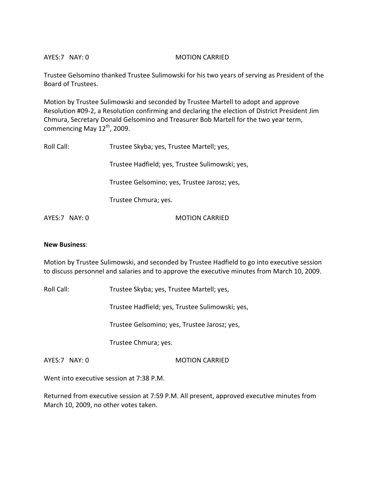AYES:7 NAY: 0 MOTION CARRIED

Trustee Gelsomino thanked Trustee Sulimowski for his two years of serving as President of the Board of Trustees.

Motion by Trustee Sulimowski and seconded by Trustee Martell to adopt and approve Resolution #09‐2, a Resolution confirming and declaring the election of District President Jim Chmura, Secretary Donald Gelsomino and Treasurer Bob Martell for the two year term, commencing May  $12^{th}$ , 2009.

| Roll Call:    | Trustee Skyba; yes, Trustee Martell; yes,       |
|---------------|-------------------------------------------------|
|               | Trustee Hadfield; yes, Trustee Sulimowski; yes, |
|               | Trustee Gelsomino; yes, Trustee Jarosz; yes,    |
|               | Trustee Chmura; yes.                            |
| AYES:7 NAY: 0 | <b>MOTION CARRIED</b>                           |

### **New Business**:

Motion by Trustee Sulimowski, and seconded by Trustee Hadfield to go into executive session to discuss personnel and salaries and to approve the executive minutes from March 10, 2009.

Roll Call: Trustee Skyba; yes, Trustee Martell; yes,

Trustee Hadfield; yes, Trustee Sulimowski; yes,

Trustee Gelsomino; yes, Trustee Jarosz; yes,

Trustee Chmura; yes.

AYES:7 NAY: 0 MOTION CARRIED

Went into executive session at 7:38 P.M.

Returned from executive session at 7:59 P.M. All present, approved executive minutes from March 10, 2009, no other votes taken.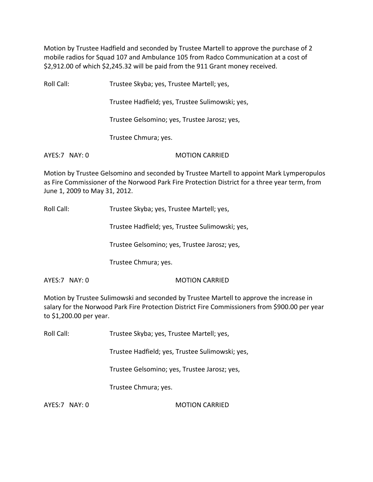Motion by Trustee Hadfield and seconded by Trustee Martell to approve the purchase of 2 mobile radios for Squad 107 and Ambulance 105 from Radco Communication at a cost of \$2,912.00 of which \$2,245.32 will be paid from the 911 Grant money received.

Roll Call: Trustee Skyba; yes, Trustee Martell; yes, Trustee Hadfield; yes, Trustee Sulimowski; yes, Trustee Gelsomino; yes, Trustee Jarosz; yes, Trustee Chmura; yes. AYES:7 NAY: 0 **MOTION CARRIED** 

Motion by Trustee Gelsomino and seconded by Trustee Martell to appoint Mark Lymperopulos as Fire Commissioner of the Norwood Park Fire Protection District for a three year term, from June 1, 2009 to May 31, 2012.

Roll Call: Trustee Skyba; yes, Trustee Martell; yes,

Trustee Hadfield; yes, Trustee Sulimowski; yes,

Trustee Gelsomino; yes, Trustee Jarosz; yes,

Trustee Chmura; yes.

AYES:7 NAY: 0 MOTION CARRIED

Motion by Trustee Sulimowski and seconded by Trustee Martell to approve the increase in salary for the Norwood Park Fire Protection District Fire Commissioners from \$900.00 per year to \$1,200.00 per year.

Roll Call: Trustee Skyba; yes, Trustee Martell; yes,

Trustee Hadfield; yes, Trustee Sulimowski; yes,

Trustee Gelsomino; yes, Trustee Jarosz; yes,

Trustee Chmura; yes.

AYES:7 NAY: 0 MOTION CARRIED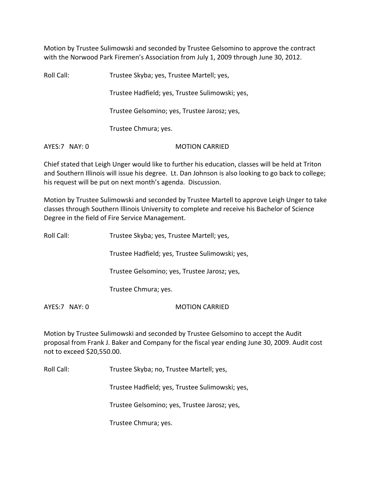Motion by Trustee Sulimowski and seconded by Trustee Gelsomino to approve the contract with the Norwood Park Firemen's Association from July 1, 2009 through June 30, 2012.

Roll Call: Trustee Skyba; yes, Trustee Martell; yes, Trustee Hadfield; yes, Trustee Sulimowski; yes, Trustee Gelsomino; yes, Trustee Jarosz; yes, Trustee Chmura; yes. AYES:7 NAY: 0 MOTION CARRIED

Chief stated that Leigh Unger would like to further his education, classes will be held at Triton and Southern Illinois will issue his degree. Lt. Dan Johnson is also looking to go back to college; his request will be put on next month's agenda. Discussion.

Motion by Trustee Sulimowski and seconded by Trustee Martell to approve Leigh Unger to take classes through Southern Illinois University to complete and receive his Bachelor of Science Degree in the field of Fire Service Management.

| Roll Call:    | Trustee Skyba; yes, Trustee Martell; yes,       |
|---------------|-------------------------------------------------|
|               | Trustee Hadfield; yes, Trustee Sulimowski; yes, |
|               | Trustee Gelsomino; yes, Trustee Jarosz; yes,    |
|               | Trustee Chmura; yes.                            |
| AYES:7 NAY: 0 | <b>MOTION CARRIED</b>                           |

Motion by Trustee Sulimowski and seconded by Trustee Gelsomino to accept the Audit proposal from Frank J. Baker and Company for the fiscal year ending June 30, 2009. Audit cost not to exceed \$20,550.00.

Roll Call: Trustee Skyba; no, Trustee Martell; yes,

Trustee Hadfield; yes, Trustee Sulimowski; yes,

Trustee Gelsomino; yes, Trustee Jarosz; yes,

Trustee Chmura; yes.